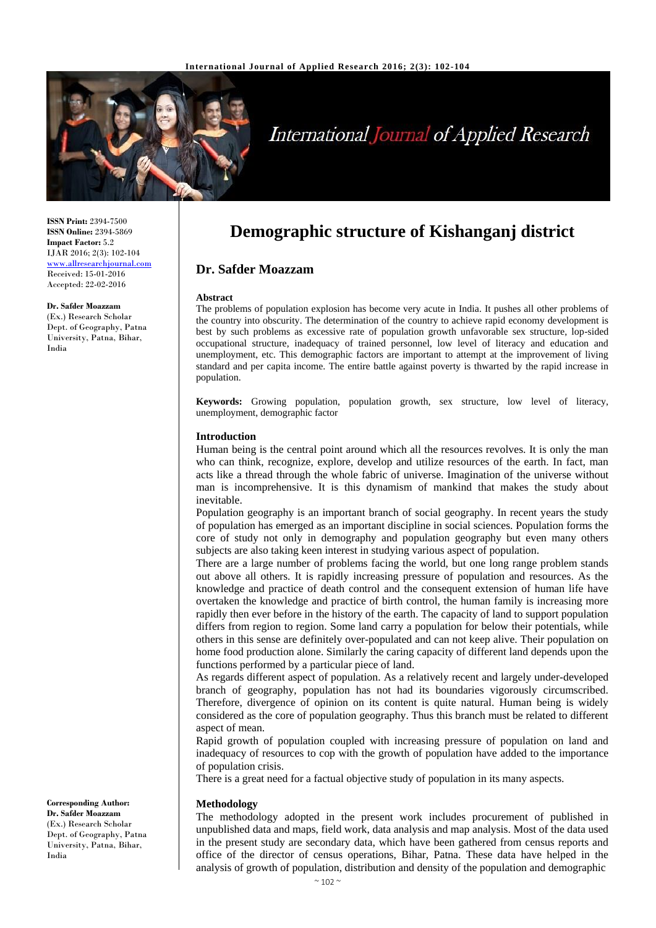

# **International Journal of Applied Research**

**ISSN Print:** 2394-7500 **ISSN Online:** 2394-5869 **Impact Factor:** 5.2 IJAR 2016; 2(3): 102-104 <www.allresearchjournal.com> Received: 15-01-2016 Accepted: 22-02-2016

**Dr. Safder Moazzam** (Ex.) Research Scholar Dept. of Geography, Patna University, Patna, Bihar, India

**Demographic structure of Kishanganj district**

# **Dr. Safder Moazzam**

#### **Abstract**

The problems of population explosion has become very acute in India. It pushes all other problems of the country into obscurity. The determination of the country to achieve rapid economy development is best by such problems as excessive rate of population growth unfavorable sex structure, lop-sided occupational structure, inadequacy of trained personnel, low level of literacy and education and unemployment, etc. This demographic factors are important to attempt at the improvement of living standard and per capita income. The entire battle against poverty is thwarted by the rapid increase in population.

**Keywords:** Growing population, population growth, sex structure, low level of literacy, unemployment, demographic factor

#### **Introduction**

Human being is the central point around which all the resources revolves. It is only the man who can think, recognize, explore, develop and utilize resources of the earth. In fact, man acts like a thread through the whole fabric of universe. Imagination of the universe without man is incomprehensive. It is this dynamism of mankind that makes the study about inevitable.

Population geography is an important branch of social geography. In recent years the study of population has emerged as an important discipline in social sciences. Population forms the core of study not only in demography and population geography but even many others subjects are also taking keen interest in studying various aspect of population.

There are a large number of problems facing the world, but one long range problem stands out above all others. It is rapidly increasing pressure of population and resources. As the knowledge and practice of death control and the consequent extension of human life have overtaken the knowledge and practice of birth control, the human family is increasing more rapidly then ever before in the history of the earth. The capacity of land to support population differs from region to region. Some land carry a population for below their potentials, while others in this sense are definitely over-populated and can not keep alive. Their population on home food production alone. Similarly the caring capacity of different land depends upon the functions performed by a particular piece of land.

As regards different aspect of population. As a relatively recent and largely under-developed branch of geography, population has not had its boundaries vigorously circumscribed. Therefore, divergence of opinion on its content is quite natural. Human being is widely considered as the core of population geography. Thus this branch must be related to different aspect of mean.

Rapid growth of population coupled with increasing pressure of population on land and inadequacy of resources to cop with the growth of population have added to the importance of population crisis.

There is a great need for a factual objective study of population in its many aspects.

#### **Methodology**

The methodology adopted in the present work includes procurement of published in unpublished data and maps, field work, data analysis and map analysis. Most of the data used in the present study are secondary data, which have been gathered from census reports and office of the director of census operations, Bihar, Patna. These data have helped in the analysis of growth of population, distribution and density of the population and demographic

**Corresponding Author: Dr. Safder Moazzam** (Ex.) Research Scholar Dept. of Geography, Patna University, Patna, Bihar, India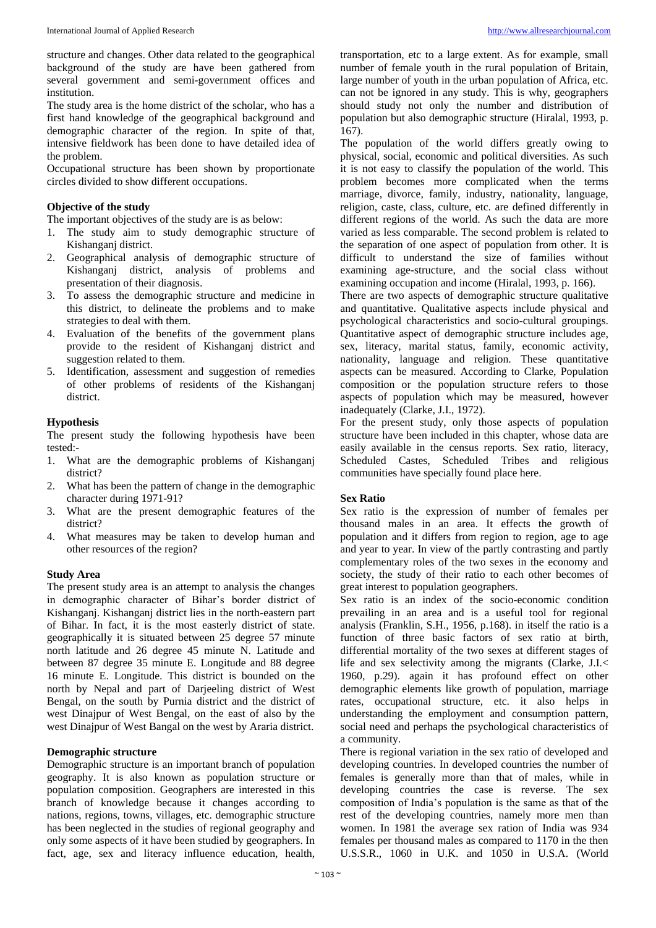structure and changes. Other data related to the geographical background of the study are have been gathered from several government and semi-government offices and institution.

The study area is the home district of the scholar, who has a first hand knowledge of the geographical background and demographic character of the region. In spite of that, intensive fieldwork has been done to have detailed idea of the problem.

Occupational structure has been shown by proportionate circles divided to show different occupations.

## **Objective of the study**

The important objectives of the study are is as below:

- 1. The study aim to study demographic structure of Kishanganj district.
- 2. Geographical analysis of demographic structure of Kishanganj district, analysis of problems and presentation of their diagnosis.
- 3. To assess the demographic structure and medicine in this district, to delineate the problems and to make strategies to deal with them.
- 4. Evaluation of the benefits of the government plans provide to the resident of Kishanganj district and suggestion related to them.
- 5. Identification, assessment and suggestion of remedies of other problems of residents of the Kishanganj district.

#### **Hypothesis**

The present study the following hypothesis have been tested:-

- 1. What are the demographic problems of Kishanganj district?
- 2. What has been the pattern of change in the demographic character during 1971-91?
- 3. What are the present demographic features of the district?
- 4. What measures may be taken to develop human and other resources of the region?

#### **Study Area**

The present study area is an attempt to analysis the changes in demographic character of Bihar's border district of Kishanganj. Kishanganj district lies in the north-eastern part of Bihar. In fact, it is the most easterly district of state. geographically it is situated between 25 degree 57 minute north latitude and 26 degree 45 minute N. Latitude and between 87 degree 35 minute E. Longitude and 88 degree 16 minute E. Longitude. This district is bounded on the north by Nepal and part of Darjeeling district of West Bengal, on the south by Purnia district and the district of west Dinajpur of West Bengal, on the east of also by the west Dinajpur of West Bangal on the west by Araria district.

# **Demographic structure**

Demographic structure is an important branch of population geography. It is also known as population structure or population composition. Geographers are interested in this branch of knowledge because it changes according to nations, regions, towns, villages, etc. demographic structure has been neglected in the studies of regional geography and only some aspects of it have been studied by geographers. In fact, age, sex and literacy influence education, health,

transportation, etc to a large extent. As for example, small number of female youth in the rural population of Britain, large number of youth in the urban population of Africa, etc. can not be ignored in any study. This is why, geographers should study not only the number and distribution of population but also demographic structure (Hiralal, 1993, p. 167).

The population of the world differs greatly owing to physical, social, economic and political diversities. As such it is not easy to classify the population of the world. This problem becomes more complicated when the terms marriage, divorce, family, industry, nationality, language, religion, caste, class, culture, etc. are defined differently in different regions of the world. As such the data are more varied as less comparable. The second problem is related to the separation of one aspect of population from other. It is difficult to understand the size of families without examining age-structure, and the social class without examining occupation and income (Hiralal, 1993, p. 166).

There are two aspects of demographic structure qualitative and quantitative. Qualitative aspects include physical and psychological characteristics and socio-cultural groupings. Quantitative aspect of demographic structure includes age, sex, literacy, marital status, family, economic activity, nationality, language and religion. These quantitative aspects can be measured. According to Clarke, Population composition or the population structure refers to those aspects of population which may be measured, however inadequately (Clarke, J.I., 1972).

For the present study, only those aspects of population structure have been included in this chapter, whose data are easily available in the census reports. Sex ratio, literacy, Scheduled Castes, Scheduled Tribes and religious communities have specially found place here.

## **Sex Ratio**

Sex ratio is the expression of number of females per thousand males in an area. It effects the growth of population and it differs from region to region, age to age and year to year. In view of the partly contrasting and partly complementary roles of the two sexes in the economy and society, the study of their ratio to each other becomes of great interest to population geographers.

Sex ratio is an index of the socio-economic condition prevailing in an area and is a useful tool for regional analysis (Franklin, S.H., 1956, p.168). in itself the ratio is a function of three basic factors of sex ratio at birth, differential mortality of the two sexes at different stages of life and sex selectivity among the migrants (Clarke, J.I.< 1960, p.29). again it has profound effect on other demographic elements like growth of population, marriage rates, occupational structure, etc. it also helps in understanding the employment and consumption pattern, social need and perhaps the psychological characteristics of a community.

There is regional variation in the sex ratio of developed and developing countries. In developed countries the number of females is generally more than that of males, while in developing countries the case is reverse. The sex composition of India's population is the same as that of the rest of the developing countries, namely more men than women. In 1981 the average sex ration of India was 934 females per thousand males as compared to 1170 in the then U.S.S.R., 1060 in U.K. and 1050 in U.S.A. (World